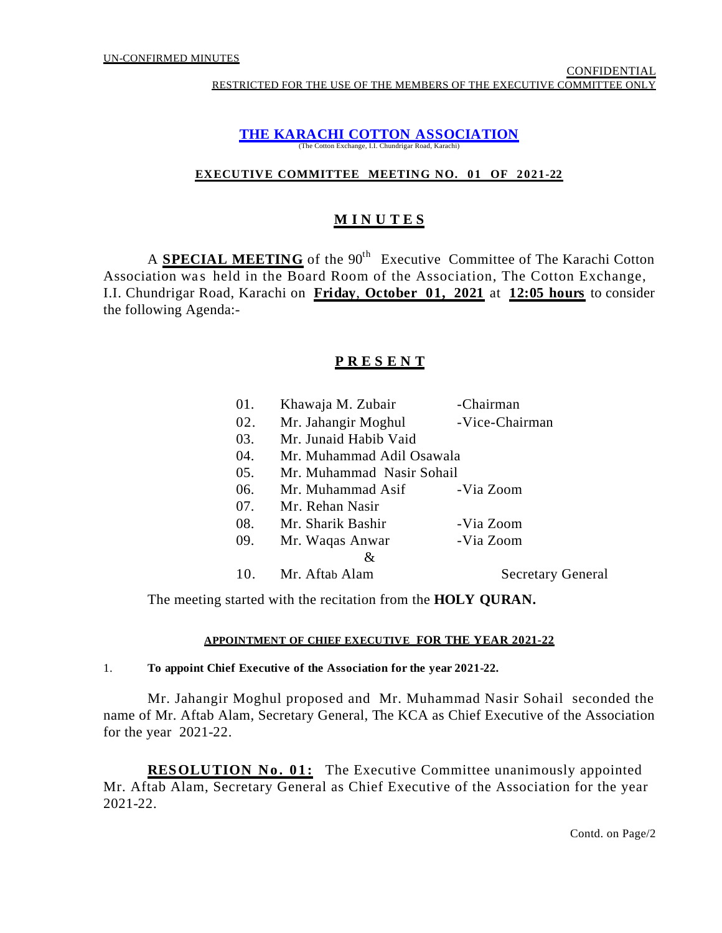#### **THE KARACHI COTTON ASSOCIATION** (The Cotton Exchange, I.I. Chundrigar Road, Karachi)

# **EXECUTIVE COMMITTEE MEETING NO. 01 OF 2021-22**

# **M I N U T E S**

A **SPECIAL MEETING** of the 90<sup>th</sup> Executive Committee of The Karachi Cotton Association was held in the Board Room of the Association, The Cotton Exchange, I.I. Chundrigar Road, Karachi on **Friday**, **October 01, 2021** at **12:05 hours** to consider the following Agenda:-

# **P R E S E N T**

| 01. | Khawaja M. Zubair         | -Chairman                |  |  |  |
|-----|---------------------------|--------------------------|--|--|--|
| 02. | Mr. Jahangir Moghul       | -Vice-Chairman           |  |  |  |
| 03. | Mr. Junaid Habib Vaid     |                          |  |  |  |
| 04. | Mr. Muhammad Adil Osawala |                          |  |  |  |
| 05. | Mr. Muhammad Nasir Sohail |                          |  |  |  |
| 06. | Mr. Muhammad Asif         | -Via Zoom                |  |  |  |
| 07. | Mr. Rehan Nasir           |                          |  |  |  |
| 08. | Mr. Sharik Bashir         | -Via Zoom                |  |  |  |
| 09. | Mr. Waqas Anwar           | -Via Zoom                |  |  |  |
|     | &                         |                          |  |  |  |
| 10. | Mr. Aftab Alam            | <b>Secretary General</b> |  |  |  |

The meeting started with the recitation from the **HOLY QURAN.**

## **APPOINTMENT OF CHIEF EXECUTIVE FOR THE YEAR 2021-22**

## 1. **To appoint Chief Executive of the Association for the year 2021-22.**

Mr. Jahangir Moghul proposed and Mr. Muhammad Nasir Sohail seconded the name of Mr. Aftab Alam, Secretary General, The KCA as Chief Executive of the Association for the year 2021-22.

**RESOLUTION No. 01:** The Executive Committee unanimously appointed Mr. Aftab Alam, Secretary General as Chief Executive of the Association for the year 2021-22.

Contd. on Page/2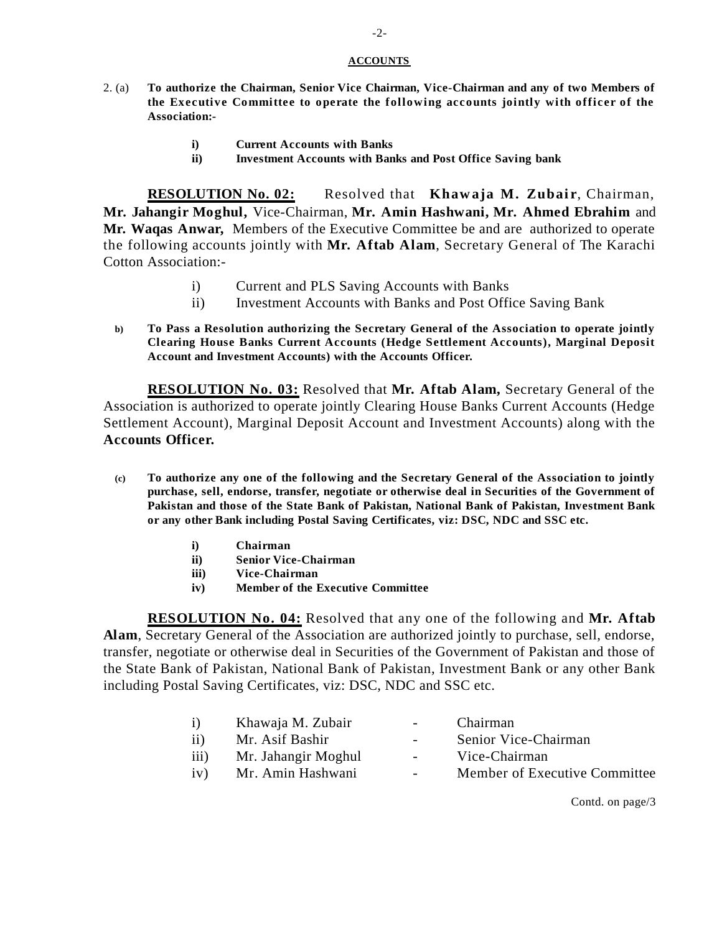#### **ACCOUNTS**

- 2. (a) **To authorize the Chairman, Senior Vice Chairman, Vice-Chairman and any of two Members of the Executive Committee to operate the following accounts jointly with officer of the Association:**
	- **i) Current Accounts with Banks**
	- **ii) Investment Accounts with Banks and Post Office Saving bank**

**RESOLUTION No. 02:** Resolved that **Khawaja M. Zubair**, Chairman, **Mr. Jahangir Moghul,** Vice-Chairman, **Mr. Amin Hashwani, Mr. Ahmed Ebrahim** and **Mr. Waqas Anwar,** Members of the Executive Committee be and are authorized to operate the following accounts jointly with **Mr. Aftab Alam**, Secretary General of The Karachi Cotton Association:-

- i) Current and PLS Saving Accounts with Banks
- ii) Investment Accounts with Banks and Post Office Saving Bank
- **b) To Pass a Resolution authorizing the Secretary General of the Association to operate jointly Clearing House Banks Current Accounts (Hedge Settlement Accounts), Marginal Deposit Account and Investment Accounts) with the Accounts Officer.**

**RESOLUTION No. 03:** Resolved that **Mr. Aftab Alam,** Secretary General of the Association is authorized to operate jointly Clearing House Banks Current Accounts (Hedge Settlement Account), Marginal Deposit Account and Investment Accounts) along with the **Accounts Officer.**

- **(c) To authorize any one of the following and the Secretary General of the Association to jointly purchase, sell, endorse, transfer, negotiate or otherwise deal in Securities of the Government of Pakistan and those of the State Bank of Pakistan, National Bank of Pakistan, Investment Bank or any other Bank including Postal Saving Certificates, viz: DSC, NDC and SSC etc.**
	- **i) Chairman**
	- **ii) Senior Vice-Chairman**
	- **iii) Vice-Chairman**
	- **iv) Member of the Executive Committee**

**RESOLUTION No. 04:** Resolved that any one of the following and **Mr. Aftab Alam**, Secretary General of the Association are authorized jointly to purchase, sell, endorse, transfer, negotiate or otherwise deal in Securities of the Government of Pakistan and those of the State Bank of Pakistan, National Bank of Pakistan, Investment Bank or any other Bank including Postal Saving Certificates, viz: DSC, NDC and SSC etc.

- i) Khawaja M. Zubair Chairman
- ii) Mr. Asif Bashir Senior Vice-Chairman
- -
- iii) Mr. Jahangir Moghul Vice-Chairman
- iv) Mr. Amin Hashwani Member of Executive Committee

Contd. on page/3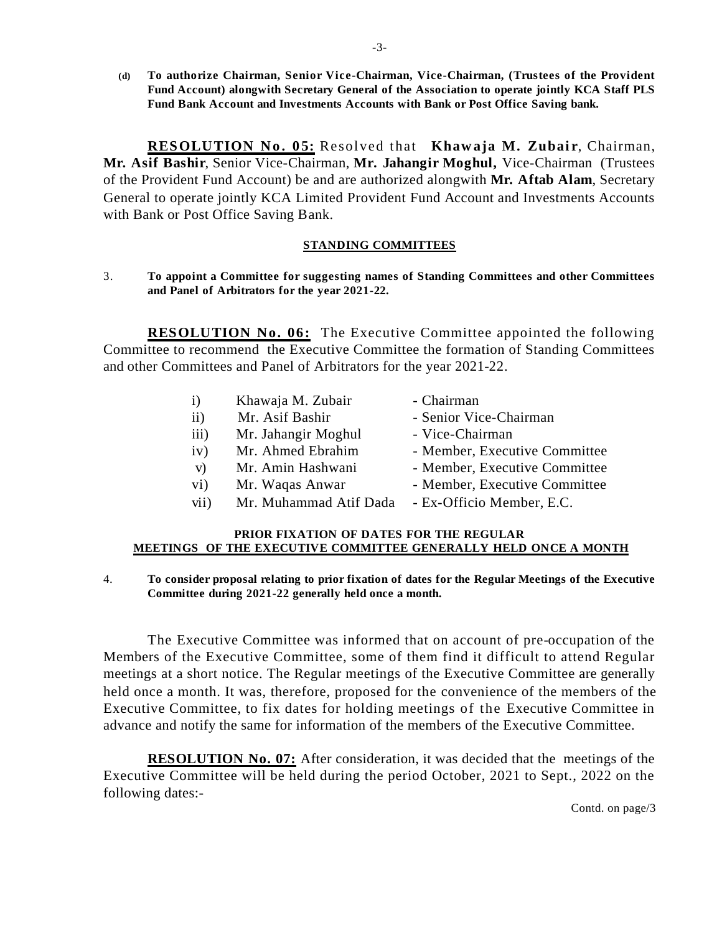**(d) To authorize Chairman, Senior Vice-Chairman, Vice-Chairman, (Trustees of the Provident Fund Account) alongwith Secretary General of the Association to operate jointly KCA Staff PLS Fund Bank Account and Investments Accounts with Bank or Post Office Saving bank.**

**RESOLUTION No. 05:** Resolved that **Khawaja M. Zubair**, Chairman, **Mr. Asif Bashir**, Senior Vice-Chairman, **Mr. Jahangir Moghul,** Vice-Chairman (Trustees of the Provident Fund Account) be and are authorized alongwith **Mr. Aftab Alam**, Secretary General to operate jointly KCA Limited Provident Fund Account and Investments Accounts with Bank or Post Office Saving Bank.

## **STANDING COMMITTEES**

3. **To appoint a Committee for suggesting names of Standing Committees and other Committees and Panel of Arbitrators for the year 2021-22.**

**RESOLUTION No. 06:** The Executive Committee appointed the following Committee to recommend the Executive Committee the formation of Standing Committees and other Committees and Panel of Arbitrators for the year 2021-22.

| $\bf{1)}$       | Khawaja M. Zubair      | - Chairman                    |
|-----------------|------------------------|-------------------------------|
| $\overline{11}$ | Mr. Asif Bashir        | - Senior Vice-Chairman        |
| iii)            | Mr. Jahangir Moghul    | - Vice-Chairman               |
| iv)             | Mr. Ahmed Ebrahim      | - Member, Executive Committee |
| V)              | Mr. Amin Hashwani      | - Member, Executive Committee |
| $\rm vi)$       | Mr. Waqas Anwar        | - Member, Executive Committee |
| vii)            | Mr. Muhammad Atif Dada | - Ex-Officio Member, E.C.     |

## **PRIOR FIXATION OF DATES FOR THE REGULAR MEETINGS OF THE EXECUTIVE COMMITTEE GENERALLY HELD ONCE A MONTH**

#### 4. **To consider proposal relating to prior fixation of dates for the Regular Meetings of the Executive Committee during 2021-22 generally held once a month.**

The Executive Committee was informed that on account of pre-occupation of the Members of the Executive Committee, some of them find it difficult to attend Regular meetings at a short notice. The Regular meetings of the Executive Committee are generally held once a month. It was, therefore, proposed for the convenience of the members of the Executive Committee, to fix dates for holding meetings of the Executive Committee in advance and notify the same for information of the members of the Executive Committee.

**RESOLUTION No. 07:** After consideration, it was decided that the meetings of the Executive Committee will be held during the period October, 2021 to Sept., 2022 on the following dates:-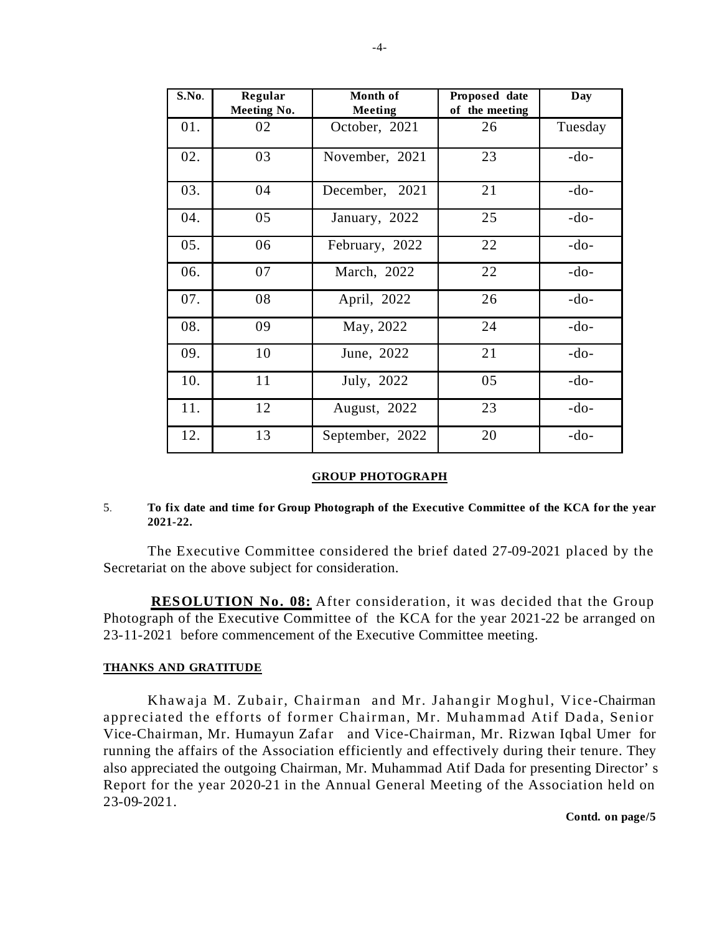| S.No. | Regular<br>Meeting No. | Month of<br><b>Meeting</b> | Proposed date<br>of the meeting | Day     |
|-------|------------------------|----------------------------|---------------------------------|---------|
| 01.   | 02                     | October, 2021              | 26                              | Tuesday |
| 02.   | 03                     | November, 2021             | 23                              | $-do-$  |
| 03.   | 04                     | December, 2021             | 21                              | $-do-$  |
| 04.   | 05                     | January, 2022              | 25                              | $-do-$  |
| 05.   | 06                     | February, 2022             | 22                              | $-do-$  |
| 06.   | 07                     | March, 2022                | 22                              | $-do-$  |
| 07.   | 08                     | April, 2022                | 26                              | $-do-$  |
| 08.   | 09                     | May, 2022                  | 24                              | $-do-$  |
| 09.   | 10                     | June, 2022                 | 21                              | $-do-$  |
| 10.   | 11                     | July, 2022                 | 05                              | $-do-$  |
| 11.   | 12                     | August, 2022               | 23                              | $-do-$  |
| 12.   | 13                     | September, 2022            | 20                              | $-do-$  |

#### **GROUP PHOTOGRAPH**

#### 5. **To fix date and time for Group Photograph of the Executive Committee of the KCA for the year 2021-22.**

The Executive Committee considered the brief dated 27-09-2021 placed by the Secretariat on the above subject for consideration.

**RESOLUTION No. 08:** After consideration, it was decided that the Group Photograph of the Executive Committee of the KCA for the year 2021-22 be arranged on 23-11-2021 before commencement of the Executive Committee meeting.

## **THANKS AND GRATITUDE**

Khawaja M. Zubair, Chairman and Mr. Jahangir Moghul, Vice-Chairman appreciated the efforts of former Chairman, Mr. Muhammad Atif Dada, Senior Vice-Chairman, Mr. Humayun Zafar and Vice-Chairman, Mr. Rizwan Iqbal Umer for running the affairs of the Association efficiently and effectively during their tenure. They also appreciated the outgoing Chairman, Mr. Muhammad Atif Dada for presenting Director's Report for the year 2020-21 in the Annual General Meeting of the Association held on 23-09-2021.